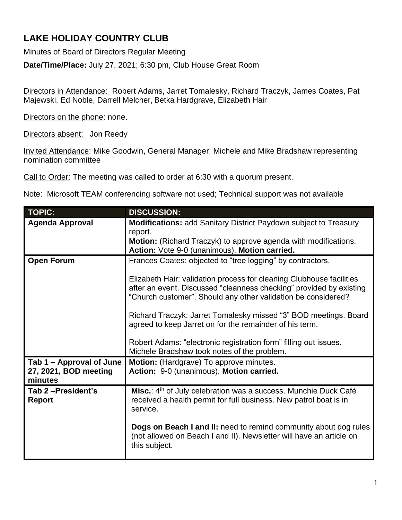## **LAKE HOLIDAY COUNTRY CLUB**

Minutes of Board of Directors Regular Meeting

**Date/Time/Place:** July 27, 2021; 6:30 pm, Club House Great Room

Directors in Attendance: Robert Adams, Jarret Tomalesky, Richard Traczyk, James Coates, Pat Majewski, Ed Noble, Darrell Melcher, Betka Hardgrave, Elizabeth Hair

Directors on the phone: none.

Directors absent: Jon Reedy

Invited Attendance: Mike Goodwin, General Manager; Michele and Mike Bradshaw representing nomination committee

Call to Order: The meeting was called to order at 6:30 with a quorum present.

Note: Microsoft TEAM conferencing software not used; Technical support was not available

| <b>TOPIC:</b>                                                | <b>DISCUSSION:</b>                                                                                                                                                                                                                                                                                                                                                                                                                                                                                                           |
|--------------------------------------------------------------|------------------------------------------------------------------------------------------------------------------------------------------------------------------------------------------------------------------------------------------------------------------------------------------------------------------------------------------------------------------------------------------------------------------------------------------------------------------------------------------------------------------------------|
| <b>Agenda Approval</b>                                       | <b>Modifications:</b> add Sanitary District Paydown subject to Treasury<br>report.<br><b>Motion:</b> (Richard Traczyk) to approve agenda with modifications.<br>Action: Vote 9-0 (unanimous). Motion carried.                                                                                                                                                                                                                                                                                                                |
| <b>Open Forum</b>                                            | Frances Coates: objected to "tree logging" by contractors.<br>Elizabeth Hair: validation process for cleaning Clubhouse facilities<br>after an event. Discussed "cleanness checking" provided by existing<br>"Church customer". Should any other validation be considered?<br>Richard Traczyk: Jarret Tomalesky missed "3" BOD meetings. Board<br>agreed to keep Jarret on for the remainder of his term.<br>Robert Adams: "electronic registration form" filling out issues.<br>Michele Bradshaw took notes of the problem. |
| Tab 1 - Approval of June<br>27, 2021, BOD meeting<br>minutes | <b>Motion:</b> (Hardgrave) To approve minutes.<br>Action: 9-0 (unanimous). Motion carried.                                                                                                                                                                                                                                                                                                                                                                                                                                   |
| Tab 2-President's<br><b>Report</b>                           | Misc.: 4 <sup>th</sup> of July celebration was a success. Munchie Duck Café<br>received a health permit for full business. New patrol boat is in<br>service.<br>Dogs on Beach I and II: need to remind community about dog rules<br>(not allowed on Beach I and II). Newsletter will have an article on<br>this subject.                                                                                                                                                                                                     |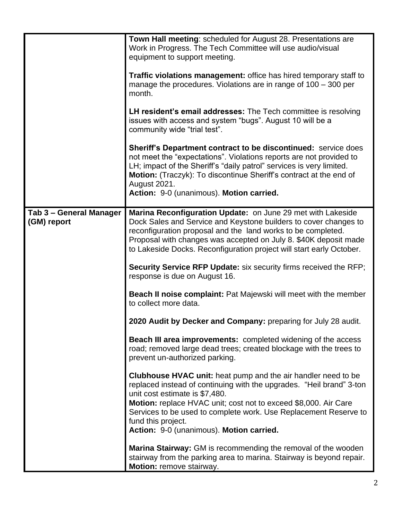|                                        | <b>Town Hall meeting: scheduled for August 28. Presentations are</b><br>Work in Progress. The Tech Committee will use audio/visual<br>equipment to support meeting.                                                                                                                                                                                           |
|----------------------------------------|---------------------------------------------------------------------------------------------------------------------------------------------------------------------------------------------------------------------------------------------------------------------------------------------------------------------------------------------------------------|
|                                        | Traffic violations management: office has hired temporary staff to<br>manage the procedures. Violations are in range of $100 - 300$ per<br>month.                                                                                                                                                                                                             |
|                                        | LH resident's email addresses: The Tech committee is resolving<br>issues with access and system "bugs". August 10 will be a<br>community wide "trial test".                                                                                                                                                                                                   |
|                                        | <b>Sheriff's Department contract to be discontinued:</b> service does<br>not meet the "expectations". Violations reports are not provided to<br>LH; impact of the Sheriff's "daily patrol" services is very limited.<br>Motion: (Traczyk): To discontinue Sheriff's contract at the end of<br><b>August 2021.</b><br>Action: 9-0 (unanimous). Motion carried. |
| Tab 3 - General Manager<br>(GM) report | Marina Reconfiguration Update: on June 29 met with Lakeside<br>Dock Sales and Service and Keystone builders to cover changes to<br>reconfiguration proposal and the land works to be completed.<br>Proposal with changes was accepted on July 8. \$40K deposit made<br>to Lakeside Docks. Reconfiguration project will start early October.                   |
|                                        | <b>Security Service RFP Update:</b> six security firms received the RFP;<br>response is due on August 16.                                                                                                                                                                                                                                                     |
|                                        | <b>Beach II noise complaint:</b> Pat Majewski will meet with the member<br>to collect more data.                                                                                                                                                                                                                                                              |
|                                        | 2020 Audit by Decker and Company: preparing for July 28 audit.                                                                                                                                                                                                                                                                                                |
|                                        | <b>Beach III area improvements:</b> completed widening of the access<br>road; removed large dead trees; created blockage with the trees to<br>prevent un-authorized parking.                                                                                                                                                                                  |
|                                        | <b>Clubhouse HVAC unit:</b> heat pump and the air handler need to be<br>replaced instead of continuing with the upgrades. "Heil brand" 3-ton<br>unit cost estimate is \$7,480.                                                                                                                                                                                |
|                                        | Motion: replace HVAC unit; cost not to exceed \$8,000. Air Care<br>Services to be used to complete work. Use Replacement Reserve to<br>fund this project.<br>Action: 9-0 (unanimous). Motion carried.                                                                                                                                                         |
|                                        | <b>Marina Stairway:</b> GM is recommending the removal of the wooden<br>stairway from the parking area to marina. Stairway is beyond repair.<br>Motion: remove stairway.                                                                                                                                                                                      |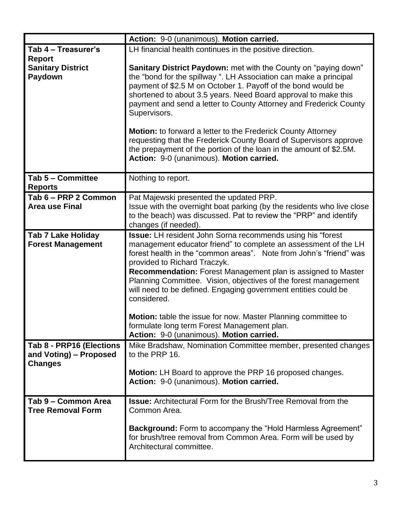|                                                                      | Action: 9-0 (unanimous). Motion carried.                                                                                                                                                                                                                                                                                                                                                                                                                                                                                                                                                                                 |
|----------------------------------------------------------------------|--------------------------------------------------------------------------------------------------------------------------------------------------------------------------------------------------------------------------------------------------------------------------------------------------------------------------------------------------------------------------------------------------------------------------------------------------------------------------------------------------------------------------------------------------------------------------------------------------------------------------|
| Tab 4 - Treasurer's                                                  | LH financial health continues in the positive direction.                                                                                                                                                                                                                                                                                                                                                                                                                                                                                                                                                                 |
| <b>Report</b><br><b>Sanitary District</b><br>Paydown                 | Sanitary District Paydown: met with the County on "paying down"<br>the "bond for the spillway". LH Association can make a principal<br>payment of \$2.5 M on October 1. Payoff of the bond would be<br>shortened to about 3.5 years. Need Board approval to make this<br>payment and send a letter to County Attorney and Frederick County<br>Supervisors.<br><b>Motion:</b> to forward a letter to the Frederick County Attorney<br>requesting that the Frederick County Board of Supervisors approve<br>the prepayment of the portion of the loan in the amount of \$2.5M.<br>Action: 9-0 (unanimous). Motion carried. |
| Tab 5 - Committee<br><b>Reports</b>                                  | Nothing to report.                                                                                                                                                                                                                                                                                                                                                                                                                                                                                                                                                                                                       |
| Tab 6 - PRP 2 Common                                                 | Pat Majewski presented the updated PRP.                                                                                                                                                                                                                                                                                                                                                                                                                                                                                                                                                                                  |
| <b>Area use Final</b>                                                | Issue with the overnight boat parking (by the residents who live close<br>to the beach) was discussed. Pat to review the "PRP" and identify<br>changes (if needed).                                                                                                                                                                                                                                                                                                                                                                                                                                                      |
| <b>Tab 7 Lake Holiday</b><br><b>Forest Management</b>                | <b>Issue:</b> LH resident John Sorna recommends using his "forest<br>management educator friend" to complete an assessment of the LH<br>forest health in the "common areas". Note from John's "friend" was<br>provided to Richard Traczyk.<br><b>Recommendation:</b> Forest Management plan is assigned to Master<br>Planning Committee. Vision, objectives of the forest management<br>will need to be defined. Engaging government entities could be<br>considered.<br>Motion: table the issue for now. Master Planning committee to                                                                                   |
|                                                                      | formulate long term Forest Management plan.<br>Action: 9-0 (unanimous). Motion carried.                                                                                                                                                                                                                                                                                                                                                                                                                                                                                                                                  |
| Tab 8 - PRP16 (Elections<br>and Voting) – Proposed<br><b>Changes</b> | Mike Bradshaw, Nomination Committee member, presented changes<br>to the PRP 16.                                                                                                                                                                                                                                                                                                                                                                                                                                                                                                                                          |
|                                                                      | <b>Motion:</b> LH Board to approve the PRP 16 proposed changes.<br>Action: 9-0 (unanimous). Motion carried.                                                                                                                                                                                                                                                                                                                                                                                                                                                                                                              |
| Tab 9 - Common Area<br><b>Tree Removal Form</b>                      | <b>Issue:</b> Architectural Form for the Brush/Tree Removal from the<br>Common Area.                                                                                                                                                                                                                                                                                                                                                                                                                                                                                                                                     |
|                                                                      | Background: Form to accompany the "Hold Harmless Agreement"<br>for brush/tree removal from Common Area. Form will be used by<br>Architectural committee.                                                                                                                                                                                                                                                                                                                                                                                                                                                                 |